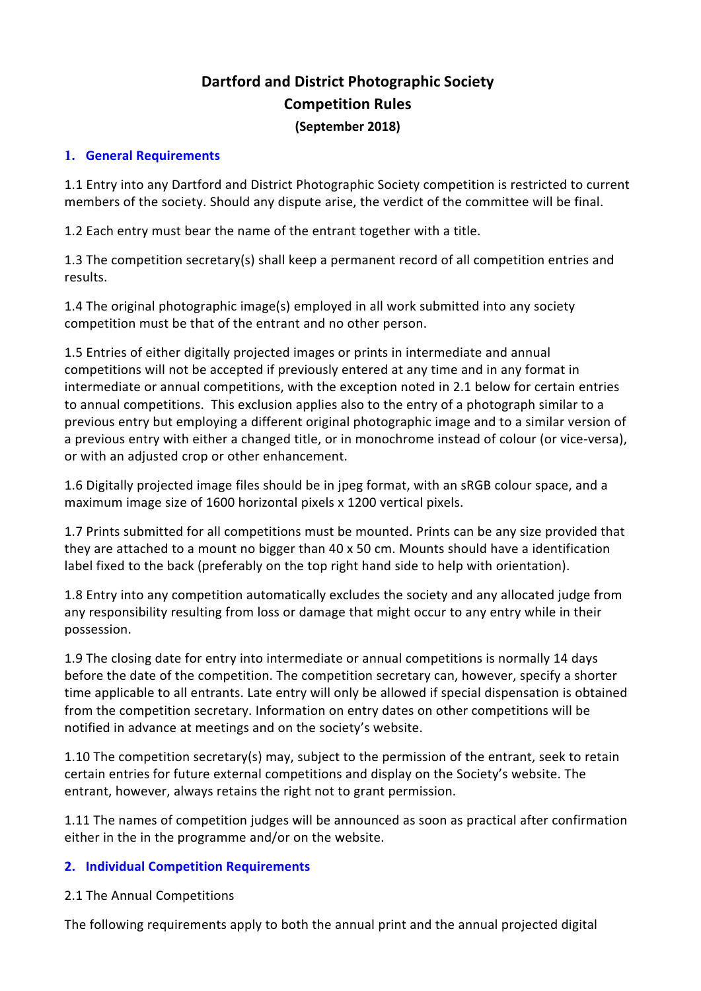# **Dartford and District Photographic Society Competition Rules (September 2018)**

#### **1. General Requirements**

1.1 Entry into any Dartford and District Photographic Society competition is restricted to current members of the society. Should any dispute arise, the verdict of the committee will be final.

1.2 Each entry must bear the name of the entrant together with a title.

1.3 The competition secretary(s) shall keep a permanent record of all competition entries and results.

1.4 The original photographic image(s) employed in all work submitted into any society competition must be that of the entrant and no other person.

1.5 Entries of either digitally projected images or prints in intermediate and annual competitions will not be accepted if previously entered at any time and in any format in intermediate or annual competitions, with the exception noted in 2.1 below for certain entries to annual competitions. This exclusion applies also to the entry of a photograph similar to a previous entry but employing a different original photographic image and to a similar version of a previous entry with either a changed title, or in monochrome instead of colour (or vice-versa), or with an adjusted crop or other enhancement.

1.6 Digitally projected image files should be in jpeg format, with an sRGB colour space, and a maximum image size of 1600 horizontal pixels x 1200 vertical pixels.

1.7 Prints submitted for all competitions must be mounted. Prints can be any size provided that they are attached to a mount no bigger than 40 x 50 cm. Mounts should have a identification label fixed to the back (preferably on the top right hand side to help with orientation).

1.8 Entry into any competition automatically excludes the society and any allocated judge from any responsibility resulting from loss or damage that might occur to any entry while in their possession.

1.9 The closing date for entry into intermediate or annual competitions is normally 14 days before the date of the competition. The competition secretary can, however, specify a shorter time applicable to all entrants. Late entry will only be allowed if special dispensation is obtained from the competition secretary. Information on entry dates on other competitions will be notified in advance at meetings and on the society's website.

1.10 The competition secretary(s) may, subject to the permission of the entrant, seek to retain certain entries for future external competitions and display on the Society's website. The entrant, however, always retains the right not to grant permission.

1.11 The names of competition judges will be announced as soon as practical after confirmation either in the in the programme and/or on the website.

#### **2. Individual Competition Requirements**

2.1 The Annual Competitions

The following requirements apply to both the annual print and the annual projected digital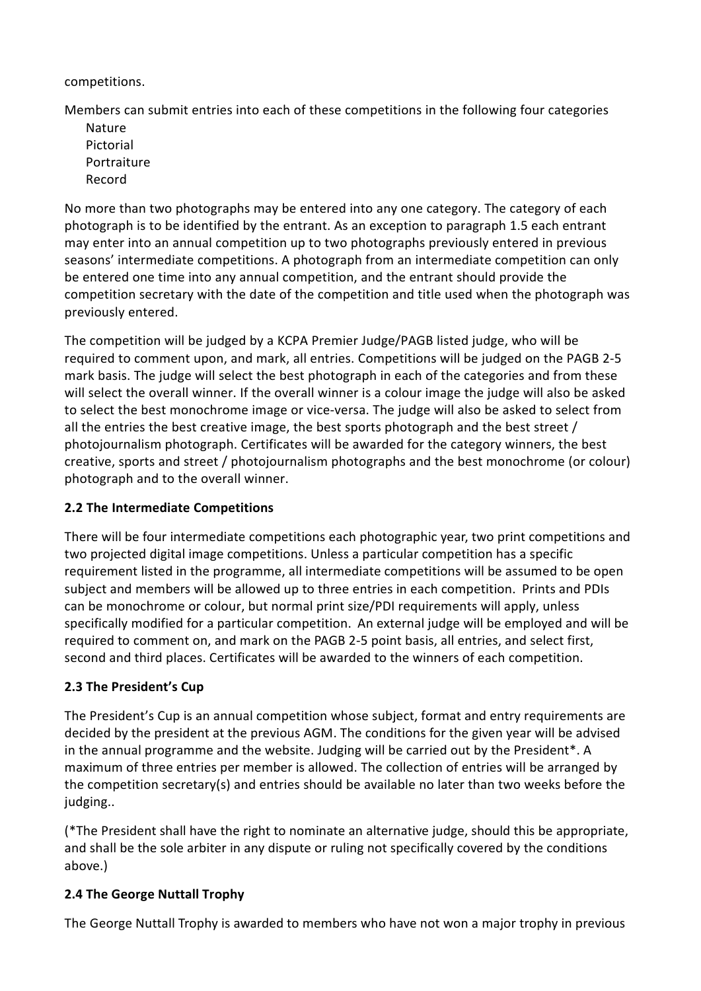competitions.

Members can submit entries into each of these competitions in the following four categories

Nature Pictorial Portraiture Record

No more than two photographs may be entered into any one category. The category of each photograph is to be identified by the entrant. As an exception to paragraph 1.5 each entrant may enter into an annual competition up to two photographs previously entered in previous seasons' intermediate competitions. A photograph from an intermediate competition can only be entered one time into any annual competition, and the entrant should provide the competition secretary with the date of the competition and title used when the photograph was previously entered.

The competition will be judged by a KCPA Premier Judge/PAGB listed judge, who will be required to comment upon, and mark, all entries. Competitions will be judged on the PAGB 2-5 mark basis. The judge will select the best photograph in each of the categories and from these will select the overall winner. If the overall winner is a colour image the judge will also be asked to select the best monochrome image or vice-versa. The judge will also be asked to select from all the entries the best creative image, the best sports photograph and the best street / photojournalism photograph. Certificates will be awarded for the category winners, the best creative, sports and street / photojournalism photographs and the best monochrome (or colour) photograph and to the overall winner.

### **2.2 The Intermediate Competitions**

There will be four intermediate competitions each photographic year, two print competitions and two projected digital image competitions. Unless a particular competition has a specific requirement listed in the programme, all intermediate competitions will be assumed to be open subject and members will be allowed up to three entries in each competition. Prints and PDIs can be monochrome or colour, but normal print size/PDI requirements will apply, unless specifically modified for a particular competition. An external judge will be employed and will be required to comment on, and mark on the PAGB 2-5 point basis, all entries, and select first, second and third places. Certificates will be awarded to the winners of each competition.

### **2.3 The President's Cup**

The President's Cup is an annual competition whose subject, format and entry requirements are decided by the president at the previous AGM. The conditions for the given year will be advised in the annual programme and the website. Judging will be carried out by the President\*. A maximum of three entries per member is allowed. The collection of entries will be arranged by the competition secretary(s) and entries should be available no later than two weeks before the judging..

(\*The President shall have the right to nominate an alternative judge, should this be appropriate, and shall be the sole arbiter in any dispute or ruling not specifically covered by the conditions above.)

#### **2.4 The George Nuttall Trophy**

The George Nuttall Trophy is awarded to members who have not won a major trophy in previous